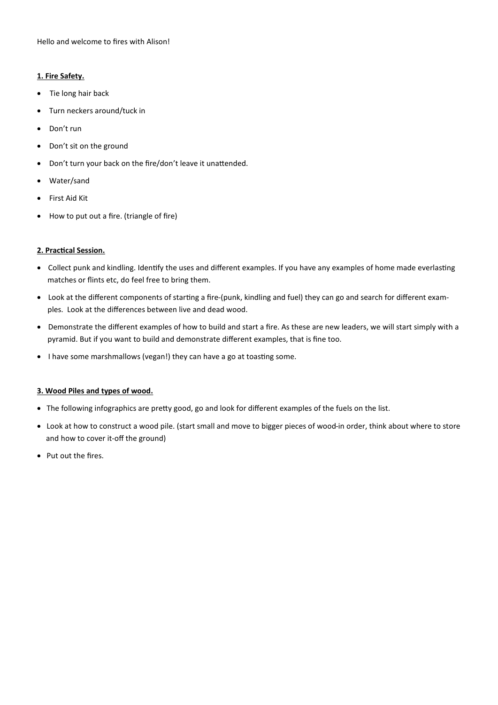Hello and welcome to fires with Alison!

## **1. Fire Safety.**

- Tie long hair back
- Turn neckers around/tuck in
- Don't run
- Don't sit on the ground
- Don't turn your back on the fire/don't leave it unattended.
- Water/sand
- First Aid Kit
- How to put out a fire. (triangle of fire)

## **2. Practical Session.**

- Collect punk and kindling. Identify the uses and different examples. If you have any examples of home made everlasting matches or flints etc, do feel free to bring them.
- Look at the different components of starting a fire-(punk, kindling and fuel) they can go and search for different examples. Look at the differences between live and dead wood.
- Demonstrate the different examples of how to build and start a fire. As these are new leaders, we will start simply with a pyramid. But if you want to build and demonstrate different examples, that is fine too.
- I have some marshmallows (vegan!) they can have a go at toasting some.

## **3. Wood Piles and types of wood.**

- The following infographics are pretty good, go and look for different examples of the fuels on the list.
- Look at how to construct a wood pile. (start small and move to bigger pieces of wood-in order, think about where to store and how to cover it-off the ground)
- Put out the fires.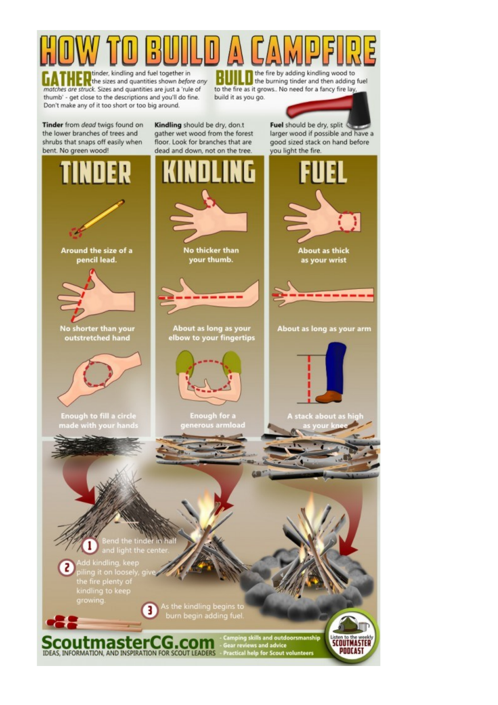